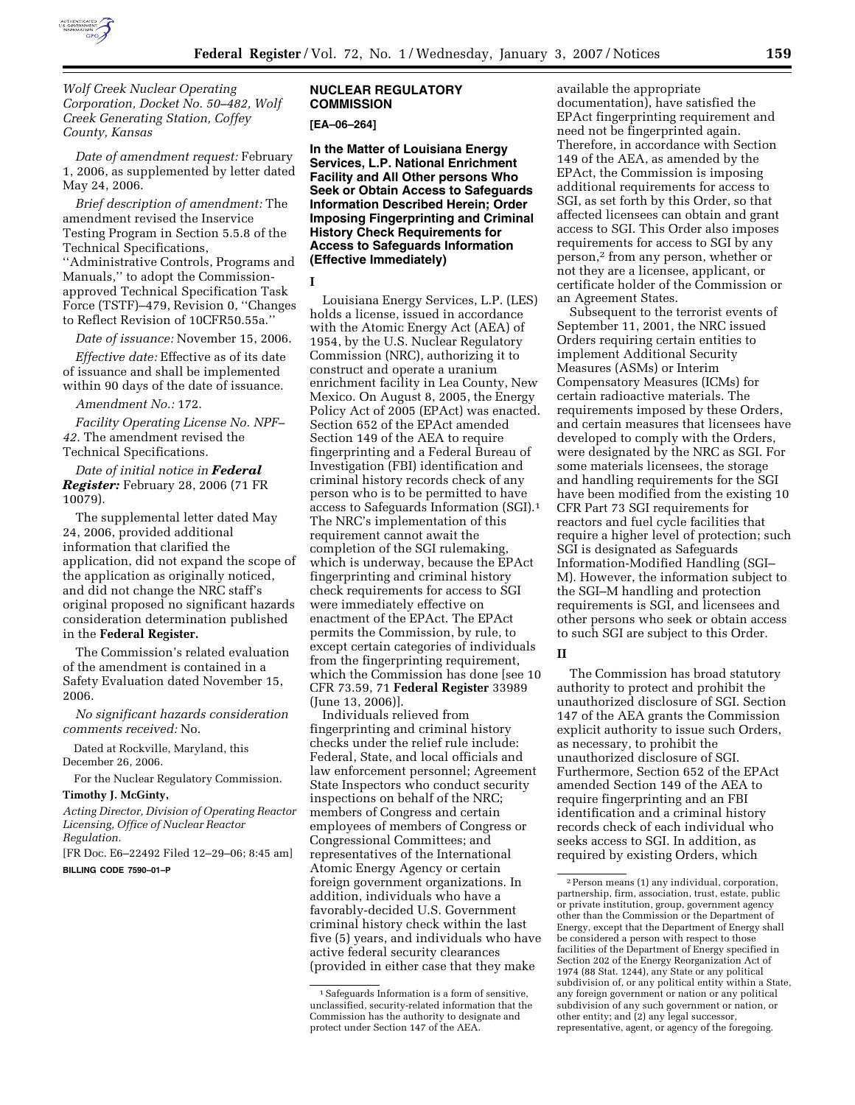

*Wolf Creek Nuclear Operating Corporation, Docket No. 50–482, Wolf Creek Generating Station, Coffey County, Kansas* 

*Date of amendment request:* February 1, 2006, as supplemented by letter dated May 24, 2006.

*Brief description of amendment:* The amendment revised the Inservice Testing Program in Section 5.5.8 of the Technical Specifications, ''Administrative Controls, Programs and Manuals,'' to adopt the Commissionapproved Technical Specification Task Force (TSTF)–479, Revision 0, ''Changes to Reflect Revision of 10CFR50.55a.''

*Date of issuance:* November 15, 2006.

*Effective date:* Effective as of its date of issuance and shall be implemented within 90 days of the date of issuance.

*Amendment No.:* 172.

*Facility Operating License No. NPF– 42.* The amendment revised the Technical Specifications.

*Date of initial notice in Federal Register:* February 28, 2006 (71 FR 10079).

The supplemental letter dated May 24, 2006, provided additional information that clarified the application, did not expand the scope of the application as originally noticed, and did not change the NRC staff's original proposed no significant hazards consideration determination published in the **Federal Register.** 

The Commission's related evaluation of the amendment is contained in a Safety Evaluation dated November 15, 2006.

*No significant hazards consideration comments received:* No.

Dated at Rockville, Maryland, this December 26, 2006.

For the Nuclear Regulatory Commission.

**Timothy J. McGinty,** 

*Acting Director, Division of Operating Reactor Licensing, Office of Nuclear Reactor Regulation.* 

[FR Doc. E6–22492 Filed 12–29–06; 8:45 am] **BILLING CODE 7590–01–P** 

## **NUCLEAR REGULATORY COMMISSION**

### **[EA–06–264]**

**In the Matter of Louisiana Energy Services, L.P. National Enrichment Facility and All Other persons Who Seek or Obtain Access to Safeguards Information Described Herein; Order Imposing Fingerprinting and Criminal History Check Requirements for Access to Safeguards Information (Effective Immediately)** 

**I** 

Louisiana Energy Services, L.P. (LES) holds a license, issued in accordance with the Atomic Energy Act (AEA) of 1954, by the U.S. Nuclear Regulatory Commission (NRC), authorizing it to construct and operate a uranium enrichment facility in Lea County, New Mexico. On August 8, 2005, the Energy Policy Act of 2005 (EPAct) was enacted. Section 652 of the EPAct amended Section 149 of the AEA to require fingerprinting and a Federal Bureau of Investigation (FBI) identification and criminal history records check of any person who is to be permitted to have access to Safeguards Information (SGI).1 The NRC's implementation of this requirement cannot await the completion of the SGI rulemaking, which is underway, because the EPAct fingerprinting and criminal history check requirements for access to SGI were immediately effective on enactment of the EPAct. The EPAct permits the Commission, by rule, to except certain categories of individuals from the fingerprinting requirement, which the Commission has done [see 10 CFR 73.59, 71 **Federal Register** 33989 (June 13, 2006)].

Individuals relieved from fingerprinting and criminal history checks under the relief rule include: Federal, State, and local officials and law enforcement personnel; Agreement State Inspectors who conduct security inspections on behalf of the NRC; members of Congress and certain employees of members of Congress or Congressional Committees; and representatives of the International Atomic Energy Agency or certain foreign government organizations. In addition, individuals who have a favorably-decided U.S. Government criminal history check within the last five (5) years, and individuals who have active federal security clearances (provided in either case that they make

available the appropriate documentation), have satisfied the EPAct fingerprinting requirement and need not be fingerprinted again. Therefore, in accordance with Section 149 of the AEA, as amended by the EPAct, the Commission is imposing additional requirements for access to SGI, as set forth by this Order, so that affected licensees can obtain and grant access to SGI. This Order also imposes requirements for access to SGI by any person,2 from any person, whether or not they are a licensee, applicant, or certificate holder of the Commission or an Agreement States.

Subsequent to the terrorist events of September 11, 2001, the NRC issued Orders requiring certain entities to implement Additional Security Measures (ASMs) or Interim Compensatory Measures (ICMs) for certain radioactive materials. The requirements imposed by these Orders, and certain measures that licensees have developed to comply with the Orders, were designated by the NRC as SGI. For some materials licensees, the storage and handling requirements for the SGI have been modified from the existing 10 CFR Part 73 SGI requirements for reactors and fuel cycle facilities that require a higher level of protection; such SGI is designated as Safeguards Information-Modified Handling (SGI– M). However, the information subject to the SGI–M handling and protection requirements is SGI, and licensees and other persons who seek or obtain access to such SGI are subject to this Order.

#### **II**

The Commission has broad statutory authority to protect and prohibit the unauthorized disclosure of SGI. Section 147 of the AEA grants the Commission explicit authority to issue such Orders, as necessary, to prohibit the unauthorized disclosure of SGI. Furthermore, Section 652 of the EPAct amended Section 149 of the AEA to require fingerprinting and an FBI identification and a criminal history records check of each individual who seeks access to SGI. In addition, as required by existing Orders, which

<sup>1</sup>Safeguards Information is a form of sensitive, unclassified, security-related information that the Commission has the authority to designate and protect under Section 147 of the AEA.

<sup>2</sup>Person means (1) any individual, corporation, partnership, firm, association, trust, estate, public or private institution, group, government agency other than the Commission or the Department of Energy, except that the Department of Energy shall be considered a person with respect to those facilities of the Department of Energy specified in Section 202 of the Energy Reorganization Act of 1974 (88 Stat. 1244), any State or any political subdivision of, or any political entity within a State, any foreign government or nation or any political subdivision of any such government or nation, or other entity; and (2) any legal successor, representative, agent, or agency of the foregoing.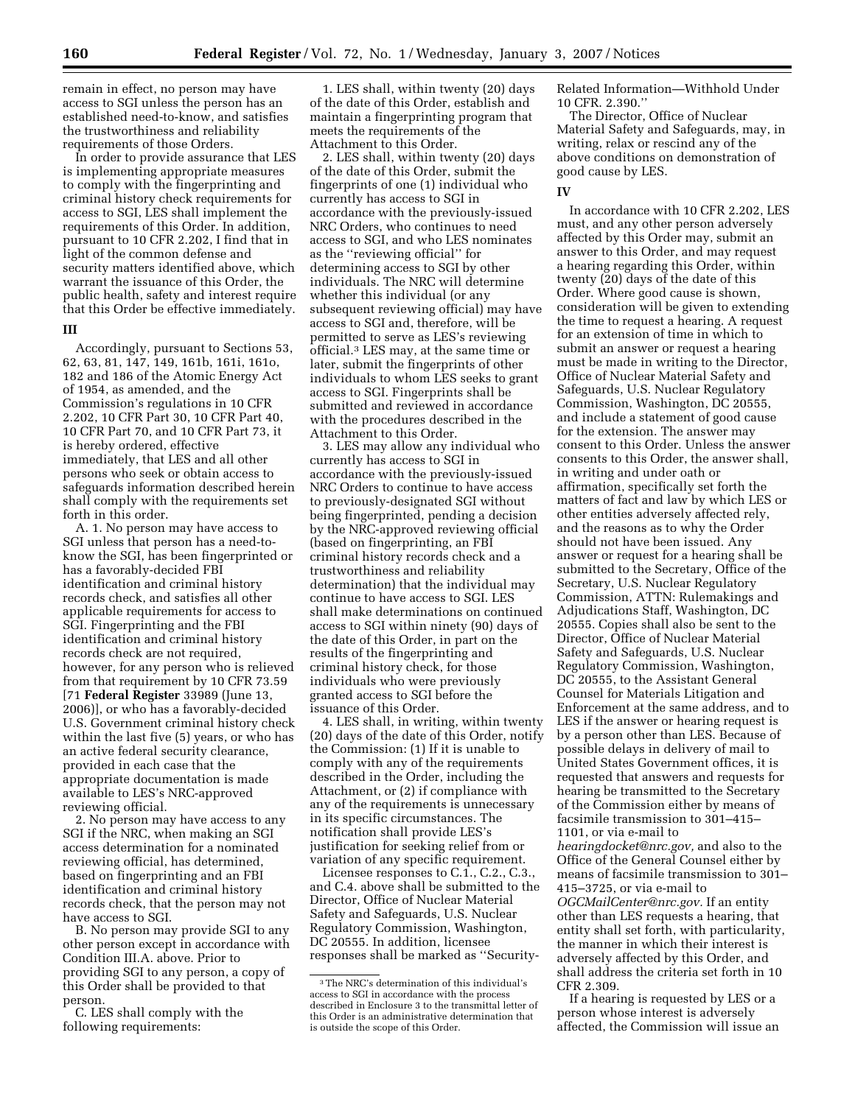remain in effect, no person may have access to SGI unless the person has an established need-to-know, and satisfies the trustworthiness and reliability requirements of those Orders.

In order to provide assurance that LES is implementing appropriate measures to comply with the fingerprinting and criminal history check requirements for access to SGI, LES shall implement the requirements of this Order. In addition, pursuant to 10 CFR 2.202, I find that in light of the common defense and security matters identified above, which warrant the issuance of this Order, the public health, safety and interest require that this Order be effective immediately.

### **III**

Accordingly, pursuant to Sections 53, 62, 63, 81, 147, 149, 161b, 161i, 161o, 182 and 186 of the Atomic Energy Act of 1954, as amended, and the Commission's regulations in 10 CFR 2.202, 10 CFR Part 30, 10 CFR Part 40, 10 CFR Part 70, and 10 CFR Part 73, it is hereby ordered, effective immediately, that LES and all other persons who seek or obtain access to safeguards information described herein shall comply with the requirements set forth in this order.

A. 1. No person may have access to SGI unless that person has a need-toknow the SGI, has been fingerprinted or has a favorably-decided FBI identification and criminal history records check, and satisfies all other applicable requirements for access to SGI. Fingerprinting and the FBI identification and criminal history records check are not required, however, for any person who is relieved from that requirement by 10 CFR 73.59 [71 **Federal Register** 33989 (June 13, 2006)], or who has a favorably-decided U.S. Government criminal history check within the last five (5) years, or who has an active federal security clearance, provided in each case that the appropriate documentation is made available to LES's NRC-approved reviewing official.

2. No person may have access to any SGI if the NRC, when making an SGI access determination for a nominated reviewing official, has determined, based on fingerprinting and an FBI identification and criminal history records check, that the person may not have access to SGI.

B. No person may provide SGI to any other person except in accordance with Condition III.A. above. Prior to providing SGI to any person, a copy of this Order shall be provided to that person.

C. LES shall comply with the following requirements:

1. LES shall, within twenty (20) days of the date of this Order, establish and maintain a fingerprinting program that meets the requirements of the Attachment to this Order.

2. LES shall, within twenty (20) days of the date of this Order, submit the fingerprints of one (1) individual who currently has access to SGI in accordance with the previously-issued NRC Orders, who continues to need access to SGI, and who LES nominates as the ''reviewing official'' for determining access to SGI by other individuals. The NRC will determine whether this individual (or any subsequent reviewing official) may have access to SGI and, therefore, will be permitted to serve as LES's reviewing official.3 LES may, at the same time or later, submit the fingerprints of other individuals to whom LES seeks to grant access to SGI. Fingerprints shall be submitted and reviewed in accordance with the procedures described in the Attachment to this Order.

3. LES may allow any individual who currently has access to SGI in accordance with the previously-issued NRC Orders to continue to have access to previously-designated SGI without being fingerprinted, pending a decision by the NRC-approved reviewing official (based on fingerprinting, an FBI criminal history records check and a trustworthiness and reliability determination) that the individual may continue to have access to SGI. LES shall make determinations on continued access to SGI within ninety (90) days of the date of this Order, in part on the results of the fingerprinting and criminal history check, for those individuals who were previously granted access to SGI before the issuance of this Order.

4. LES shall, in writing, within twenty (20) days of the date of this Order, notify the Commission: (1) If it is unable to comply with any of the requirements described in the Order, including the Attachment, or (2) if compliance with any of the requirements is unnecessary in its specific circumstances. The notification shall provide LES's justification for seeking relief from or variation of any specific requirement.

Licensee responses to C.1., C.2., C.3., and C.4. above shall be submitted to the Director, Office of Nuclear Material Safety and Safeguards, U.S. Nuclear Regulatory Commission, Washington, DC 20555. In addition, licensee responses shall be marked as ''SecurityRelated Information—Withhold Under 10 CFR. 2.390.''

The Director, Office of Nuclear Material Safety and Safeguards, may, in writing, relax or rescind any of the above conditions on demonstration of good cause by LES.

### **IV**

In accordance with 10 CFR 2.202, LES must, and any other person adversely affected by this Order may, submit an answer to this Order, and may request a hearing regarding this Order, within twenty (20) days of the date of this Order. Where good cause is shown, consideration will be given to extending the time to request a hearing. A request for an extension of time in which to submit an answer or request a hearing must be made in writing to the Director, Office of Nuclear Material Safety and Safeguards, U.S. Nuclear Regulatory Commission, Washington, DC 20555, and include a statement of good cause for the extension. The answer may consent to this Order. Unless the answer consents to this Order, the answer shall, in writing and under oath or affirmation, specifically set forth the matters of fact and law by which LES or other entities adversely affected rely, and the reasons as to why the Order should not have been issued. Any answer or request for a hearing shall be submitted to the Secretary, Office of the Secretary, U.S. Nuclear Regulatory Commission, ATTN: Rulemakings and Adjudications Staff, Washington, DC 20555. Copies shall also be sent to the Director, Office of Nuclear Material Safety and Safeguards, U.S. Nuclear Regulatory Commission, Washington, DC 20555, to the Assistant General Counsel for Materials Litigation and Enforcement at the same address, and to LES if the answer or hearing request is by a person other than LES. Because of possible delays in delivery of mail to United States Government offices, it is requested that answers and requests for hearing be transmitted to the Secretary of the Commission either by means of facsimile transmission to 301–415– 1101, or via e-mail to

*hearingdocket@nrc.gov,* and also to the Office of the General Counsel either by means of facsimile transmission to 301– 415–3725, or via e-mail to

*OGCMailCenter@nrc.gov.* If an entity other than LES requests a hearing, that entity shall set forth, with particularity, the manner in which their interest is adversely affected by this Order, and shall address the criteria set forth in 10 CFR 2.309.

If a hearing is requested by LES or a person whose interest is adversely affected, the Commission will issue an

<sup>3</sup>The NRC's determination of this individual's access to SGI in accordance with the process described in Enclosure 3 to the transmittal letter of this Order is an administrative determination that is outside the scope of this Order.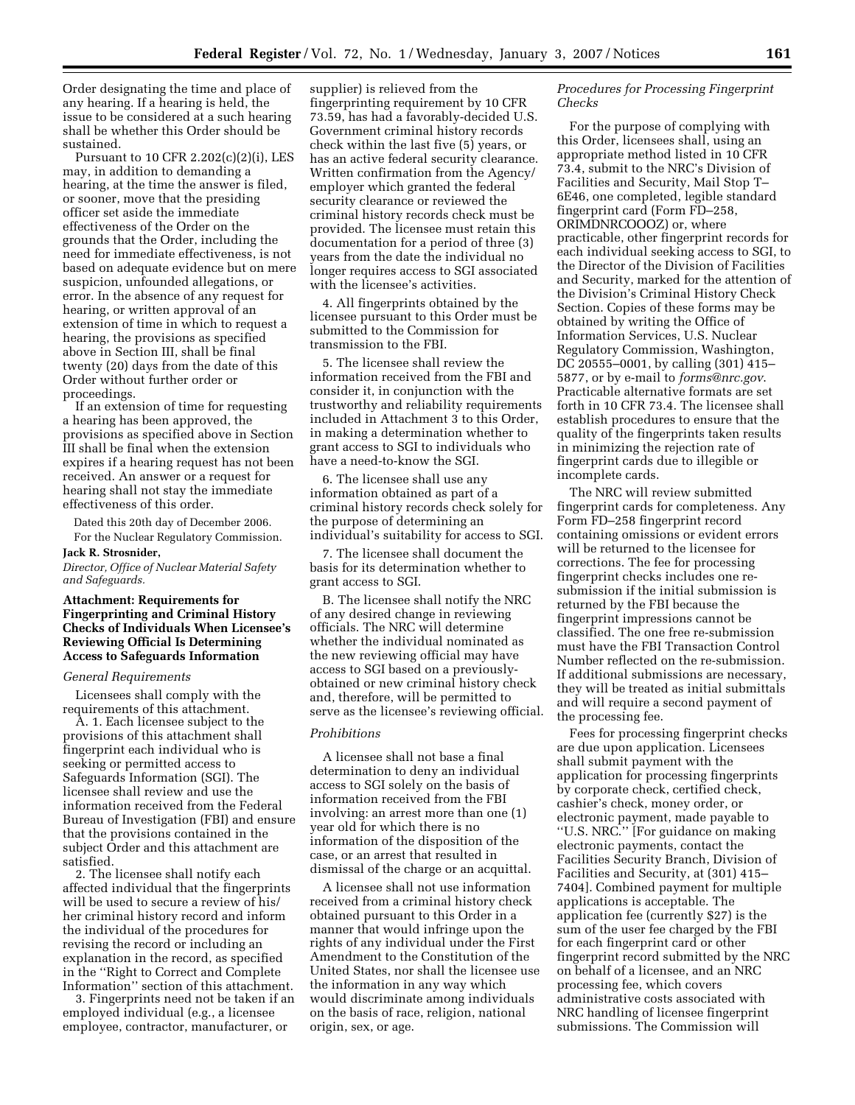Order designating the time and place of any hearing. If a hearing is held, the issue to be considered at a such hearing shall be whether this Order should be sustained.

Pursuant to 10 CFR 2.202(c)(2)(i), LES may, in addition to demanding a hearing, at the time the answer is filed, or sooner, move that the presiding officer set aside the immediate effectiveness of the Order on the grounds that the Order, including the need for immediate effectiveness, is not based on adequate evidence but on mere suspicion, unfounded allegations, or error. In the absence of any request for hearing, or written approval of an extension of time in which to request a hearing, the provisions as specified above in Section III, shall be final twenty (20) days from the date of this Order without further order or proceedings.

If an extension of time for requesting a hearing has been approved, the provisions as specified above in Section III shall be final when the extension expires if a hearing request has not been received. An answer or a request for hearing shall not stay the immediate effectiveness of this order.

Dated this 20th day of December 2006. For the Nuclear Regulatory Commission.

### **Jack R. Strosnider,**

*Director, Office of Nuclear Material Safety and Safeguards.* 

## **Attachment: Requirements for Fingerprinting and Criminal History Checks of Individuals When Licensee's Reviewing Official Is Determining Access to Safeguards Information**

#### *General Requirements*

Licensees shall comply with the requirements of this attachment.

A. 1. Each licensee subject to the provisions of this attachment shall fingerprint each individual who is seeking or permitted access to Safeguards Information (SGI). The licensee shall review and use the information received from the Federal Bureau of Investigation (FBI) and ensure that the provisions contained in the subject Order and this attachment are satisfied.

2. The licensee shall notify each affected individual that the fingerprints will be used to secure a review of his/ her criminal history record and inform the individual of the procedures for revising the record or including an explanation in the record, as specified in the ''Right to Correct and Complete Information'' section of this attachment.

3. Fingerprints need not be taken if an employed individual (e.g., a licensee employee, contractor, manufacturer, or

supplier) is relieved from the fingerprinting requirement by 10 CFR 73.59, has had a favorably-decided U.S. Government criminal history records check within the last five (5) years, or has an active federal security clearance. Written confirmation from the Agency/ employer which granted the federal security clearance or reviewed the criminal history records check must be provided. The licensee must retain this documentation for a period of three (3) years from the date the individual no longer requires access to SGI associated with the licensee's activities.

4. All fingerprints obtained by the licensee pursuant to this Order must be submitted to the Commission for transmission to the FBI.

5. The licensee shall review the information received from the FBI and consider it, in conjunction with the trustworthy and reliability requirements included in Attachment 3 to this Order, in making a determination whether to grant access to SGI to individuals who have a need-to-know the SGI.

6. The licensee shall use any information obtained as part of a criminal history records check solely for the purpose of determining an individual's suitability for access to SGI.

7. The licensee shall document the basis for its determination whether to grant access to SGI.

B. The licensee shall notify the NRC of any desired change in reviewing officials. The NRC will determine whether the individual nominated as the new reviewing official may have access to SGI based on a previouslyobtained or new criminal history check and, therefore, will be permitted to serve as the licensee's reviewing official.

#### *Prohibitions*

A licensee shall not base a final determination to deny an individual access to SGI solely on the basis of information received from the FBI involving: an arrest more than one (1) year old for which there is no information of the disposition of the case, or an arrest that resulted in dismissal of the charge or an acquittal.

A licensee shall not use information received from a criminal history check obtained pursuant to this Order in a manner that would infringe upon the rights of any individual under the First Amendment to the Constitution of the United States, nor shall the licensee use the information in any way which would discriminate among individuals on the basis of race, religion, national origin, sex, or age.

# *Procedures for Processing Fingerprint Checks*

For the purpose of complying with this Order, licensees shall, using an appropriate method listed in 10 CFR 73.4, submit to the NRC's Division of Facilities and Security, Mail Stop T– 6E46, one completed, legible standard fingerprint card (Form FD–258, ORIMDNRCOOOZ) or, where practicable, other fingerprint records for each individual seeking access to SGI, to the Director of the Division of Facilities and Security, marked for the attention of the Division's Criminal History Check Section. Copies of these forms may be obtained by writing the Office of Information Services, U.S. Nuclear Regulatory Commission, Washington, DC 20555–0001, by calling (301) 415– 5877, or by e-mail to *forms@nrc.gov*. Practicable alternative formats are set forth in 10 CFR 73.4. The licensee shall establish procedures to ensure that the quality of the fingerprints taken results in minimizing the rejection rate of fingerprint cards due to illegible or incomplete cards.

The NRC will review submitted fingerprint cards for completeness. Any Form FD–258 fingerprint record containing omissions or evident errors will be returned to the licensee for corrections. The fee for processing fingerprint checks includes one resubmission if the initial submission is returned by the FBI because the fingerprint impressions cannot be classified. The one free re-submission must have the FBI Transaction Control Number reflected on the re-submission. If additional submissions are necessary, they will be treated as initial submittals and will require a second payment of the processing fee.

Fees for processing fingerprint checks are due upon application. Licensees shall submit payment with the application for processing fingerprints by corporate check, certified check, cashier's check, money order, or electronic payment, made payable to ''U.S. NRC.'' [For guidance on making electronic payments, contact the Facilities Security Branch, Division of Facilities and Security, at (301) 415– 7404]. Combined payment for multiple applications is acceptable. The application fee (currently \$27) is the sum of the user fee charged by the FBI for each fingerprint card or other fingerprint record submitted by the NRC on behalf of a licensee, and an NRC processing fee, which covers administrative costs associated with NRC handling of licensee fingerprint submissions. The Commission will